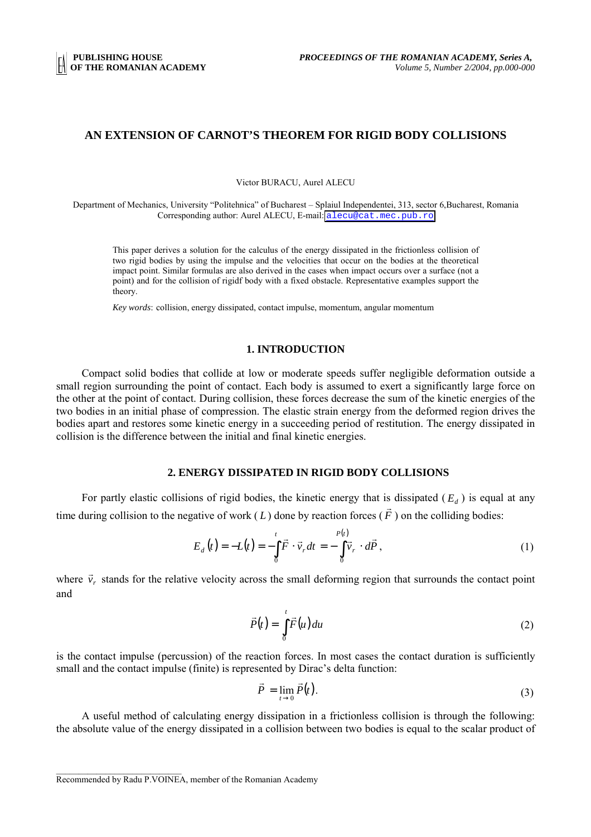## **AN EXTENSION OF CARNOT'S THEOREM FOR RIGID BODY COLLISIONS**

Victor BURACU, Aurel ALECU

Department of Mechanics, University "Politehnica" of Bucharest – Splaiul Independentei, 313, sector 6,Bucharest, Romania Corresponding author: Aurel ALECU, E-mail: [alecu@cat.mec.pub.ro](mailto:alecu@cat.mec.pub.ro)

This paper derives a solution for the calculus of the energy dissipated in the frictionless collision of two rigid bodies by using the impulse and the velocities that occur on the bodies at the theoretical impact point. Similar formulas are also derived in the cases when impact occurs over a surface (not a point) and for the collision of rigidf body with a fixed obstacle. Representative examples support the theory.

*Key words*: collision, energy dissipated, contact impulse, momentum, angular momentum

### **1. INTRODUCTION**

Compact solid bodies that collide at low or moderate speeds suffer negligible deformation outside a small region surrounding the point of contact. Each body is assumed to exert a significantly large force on the other at the point of contact. During collision, these forces decrease the sum of the kinetic energies of the two bodies in an initial phase of compression. The elastic strain energy from the deformed region drives the bodies apart and restores some kinetic energy in a succeeding period of restitution. The energy dissipated in collision is the difference between the initial and final kinetic energies.

### **2. ENERGY DISSIPATED IN RIGID BODY COLLISIONS**

For partly elastic collisions of rigid bodies, the kinetic energy that is dissipated  $(E_d)$  is equal at any time during collision to the negative of work ( *L* ) done by reaction forces ( *F* ) on the colliding bodies:

$$
E_d(t) = -L(t) = -\int_0^t \vec{F} \cdot \vec{v}_r dt = -\int_0^{P(t)} \vec{v}_r \cdot d\vec{P},
$$
\n(1)

where  $\vec{v}_r$  stands for the relative velocity across the small deforming region that surrounds the contact point and

$$
\vec{P}(t) = \int_{0}^{t} \vec{F}(u) du
$$
 (2)

is the contact impulse (percussion) of the reaction forces. In most cases the contact duration is sufficiently small and the contact impulse (finite) is represented by Dirac's delta function:

$$
\vec{P} = \lim_{t \to 0} \vec{P}(t). \tag{3}
$$

A useful method of calculating energy dissipation in a frictionless collision is through the following: the absolute value of the energy dissipated in a collision between two bodies is equal to the scalar product of

 $\mathcal{L}_\text{max}$ 

Recommended by Radu P.VOINEA, member of the Romanian Academy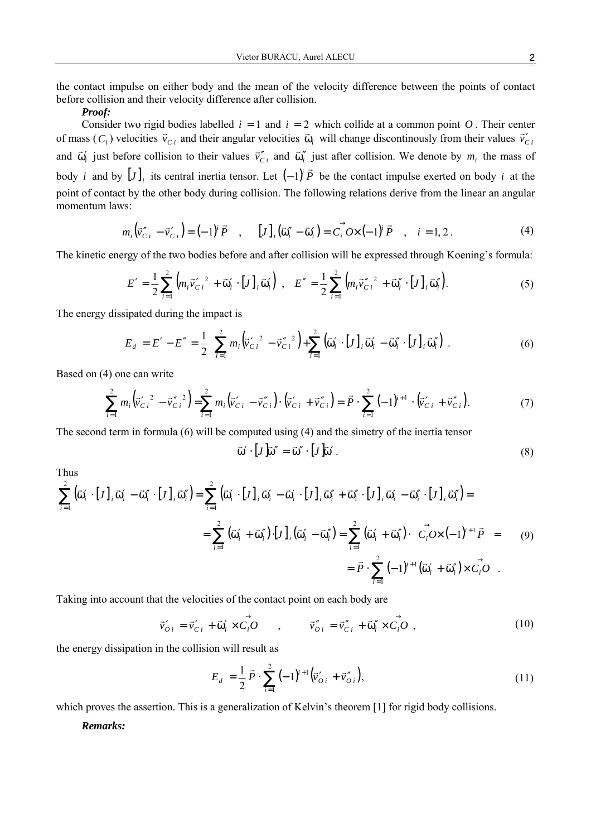the contact impulse on either body and the mean of the velocity difference between the points of contact before collision and their velocity difference after collision.

#### *Proof:*

Consider two rigid bodies labelled  $i = 1$  and  $i = 2$  which collide at a common point  $O$ . Their center of mass  $(C_i)$  velocities  $\vec{v}_{Ci}$  and their angular velocities  $\vec{\omega}_i$  will change discontinously from their values  $\vec{v}_{Ci}$ and  $\vec{\omega}_i$  just before collision to their values  $\vec{v}_{Ci}^{\prime\prime}$  and  $\vec{\omega}_i^{\prime\prime}$  just after collision. We denote by  $m_i$  the mass of body *i* and by  $[J]_i$  its central inertia tensor. Let  $(-1)^i \vec{P}$  be the contact impulse exerted on body *i* at the point of contact by the other body during collision. The following relations derive from the linear an angular momentum laws:

$$
m_i(\vec{v}_{Ci}'' - \vec{v}_{Ci}') = (-1)^i \vec{P} , \qquad [J]_i(\vec{\omega}_i'' - \vec{\omega}_i') = C_i^{\vec{\phantom{a}}} O \times (-1)^i \vec{P} , \qquad i = 1, 2. \tag{4}
$$

The kinetic energy of the two bodies before and after collision will be expressed through Koening's formula:

$$
E' = \frac{1}{2} \sum_{i=1}^{2} \left( m_i \vec{v}_{Ci}^{\'}{}^2 + \vec{\omega}_i' \cdot [J]_i \vec{\omega}_i' \right) , \quad E'' = \frac{1}{2} \sum_{i=1}^{2} \left( m_i \vec{v}_{Ci}^{\''}{}^2 + \vec{\omega}_i'' \cdot [J]_i \vec{\omega}_i'' \right).
$$
 (5)

The energy dissipated during the impact is

$$
E_d = E' - E'' = \frac{1}{2} \left[ \sum_{i=1}^2 m_i \left( \vec{v}_{Ci}^{\prime 2} - \vec{v}_{Ci}^{\prime\prime 2} \right) + \sum_{i=1}^2 \left( \vec{\omega}_i^{\prime} \cdot [J]_i \vec{\omega}_i^{\prime} - \vec{\omega}_i^{\prime\prime} \cdot [J]_i \vec{\omega}_i^{\prime\prime} \right) \right].
$$
 (6)

Based on (4) one can write

$$
\sum_{i=1}^{2} m_i \left( \vec{v}'_{Ci}^2 - \vec{v}''_{Ci}^2 \right) = \sum_{i=1}^{2} m_i \left( \vec{v}'_{Ci} - \vec{v}''_{Ci} \right) \cdot \left( \vec{v}'_{Ci} + \vec{v}''_{Ci} \right) = \vec{P} \cdot \sum_{i=1}^{2} (-1)^{i+1} \cdot \left( \vec{v}'_{Ci} + \vec{v}''_{Ci} \right).
$$
 (7)

The second term in formula (6) will be computed using (4) and the simetry of the inertia tensor

$$
\vec{\omega}' \cdot [J\vec{\omega}' = \vec{\omega}'' \cdot [J\vec{\omega}'] \tag{8}
$$

Thus

$$
\sum_{i=1}^{2} (\vec{\omega}_{i}^{\prime} \cdot [J]_{i} \vec{\omega}_{i}^{\prime} - \vec{\omega}_{i}^{\prime\prime} \cdot [J]_{i} \vec{\omega}_{i}^{\prime}) = \sum_{i=1}^{2} (\vec{\omega}_{i}^{\prime} \cdot [J]_{i} \vec{\omega}_{i}^{\prime} - \vec{\omega}_{i}^{\prime} \cdot [J]_{i} \vec{\omega}_{i}^{\prime} + \vec{\omega}_{i}^{\prime\prime} \cdot [J]_{i} \vec{\omega}_{i}^{\prime} - \vec{\omega}_{i}^{\prime\prime} \cdot [J]_{i} \vec{\omega}_{i}^{\prime}) =
$$
\n
$$
= \sum_{i=1}^{2} (\vec{\omega}_{i}^{\prime} + \vec{\omega}_{i}^{\prime\prime}) \cdot [J]_{i} (\vec{\omega}_{i}^{\prime} - \vec{\omega}_{i}^{\prime\prime}) = \sum_{i=1}^{2} (\vec{\omega}_{i}^{\prime} + \vec{\omega}_{i}^{\prime\prime}) \cdot \left( \vec{C_{i}} O \times (-1)^{i+1} \vec{P} \right) = (9)
$$
\n
$$
= \vec{P} \cdot \sum_{i=1}^{2} (-1)^{i+1} (\vec{\omega}_{i}^{\prime} + \vec{\omega}_{i}^{\prime\prime}) \times \vec{C_{i}} O
$$

Taking into account that the velocities of the contact point on each body are

$$
\vec{v}_{0i}' = \vec{v}_{Ci}' + \vec{\omega}_i' \times \vec{C}_i \vec{O} \qquad , \qquad \vec{v}_{0i}'' = \vec{v}_{Ci}'' + \vec{\omega}_i'' \times \vec{C}_i \vec{O} \qquad , \tag{10}
$$

the energy dissipation in the collision will result as

$$
E_d = \frac{1}{2} \vec{P} \cdot \sum_{i=1}^{2} (-1)^{i+1} (\vec{v}_{oi} + \vec{v}_{oi}^{\prime}),
$$
\n(11)

which proves the assertion. This is a generalization of Kelvin's theorem [1] for rigid body collisions.

# *Remarks:*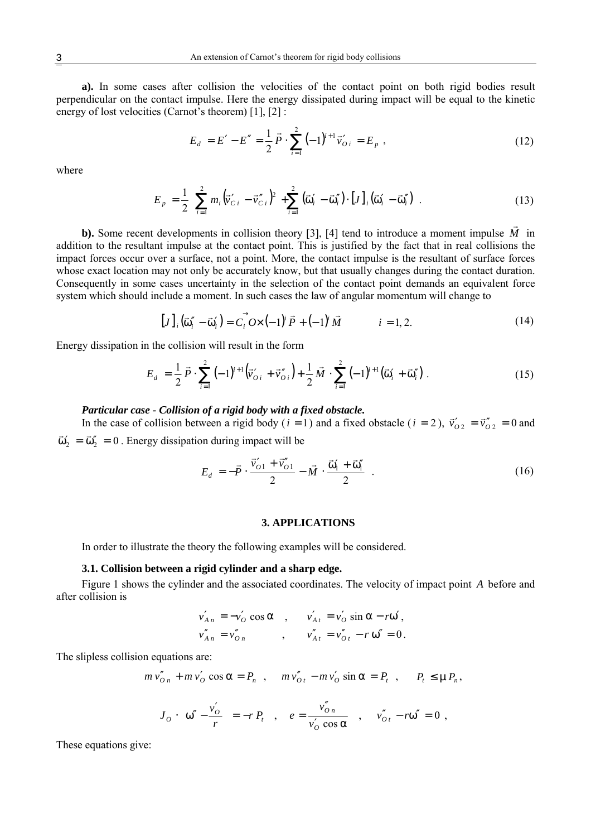**a).** In some cases after collision the velocities of the contact point on both rigid bodies result perpendicular on the contact impulse. Here the energy dissipated during impact will be equal to the kinetic energy of lost velocities (Carnot's theorem) [1], [2] :

$$
E_d = E' - E'' = \frac{1}{2} \vec{P} \cdot \sum_{i=1}^{2} (-1)^{i+1} \vec{v}'_{0i} = E_p ,
$$
\n(12)

where

$$
E_{p} = \frac{1}{2} \left[ \sum_{i=1}^{2} m_{i} (\vec{v}_{Ci}^{\'} - \vec{v}_{Ci}^{\''})^{2} + \sum_{i=1}^{2} (\vec{\omega}_{i}^{\'} - \vec{\omega}_{i}^{\''}) \cdot [J]_{i} (\vec{\omega}_{i}^{\'} - \vec{\omega}_{i}^{\''}) \right].
$$
 (13)

**b).** Some recent developments in collision theory [3], [4] tend to introduce a moment impulse *M* in addition to the resultant impulse at the contact point. This is justified by the fact that in real collisions the impact forces occur over a surface, not a point. More, the contact impulse is the resultant of surface forces whose exact location may not only be accurately know, but that usually changes during the contact duration. Consequently in some cases uncertainty in the selection of the contact point demands an equivalent force system which should include a moment. In such cases the law of angular momentum will change to

$$
[J]_i(\vec{\omega}_i'' - \vec{\omega}_i') = C_i \vec{\omega} \left( -1 \right)^i \vec{P} + (-1)^i \vec{M} \qquad i = 1, 2. \tag{14}
$$

Energy dissipation in the collision will result in the form

$$
E_d = \frac{1}{2} \vec{P} \cdot \sum_{i=1}^{2} (-1)^{i+1} (\vec{v}_{0i} + \vec{v}_{0i}^{\prime}) + \frac{1}{2} \vec{M} \cdot \sum_{i=1}^{2} (-1)^{i+1} (\vec{\omega}_i^{\prime} + \vec{\omega}_i^{\prime})
$$
 (15)

#### *Particular case - Collision of a rigid body with a fixed obstacle.*

In the case of collision between a rigid body (*i* = 1) and a fixed obstacle (*i* = 2),  $\vec{v}_{02}^{\prime} = \vec{v}_{02}^{\prime\prime} = 0$  and  $\vec{v}_{01}$  $\vec{\omega}'_2 = \vec{\omega}''_2 = 0$ . Energy dissipation during impact will be

$$
E_d = -\vec{P} \cdot \frac{\vec{v}_{01}^{\prime} + \vec{v}_{01}^{\prime\prime}}{2} - \vec{M} \cdot \frac{\vec{\omega}_1^{\prime} + \vec{\omega}_1^{\prime\prime}}{2}
$$
 (16)

#### **3. APPLICATIONS**

In order to illustrate the theory the following examples will be considered.

#### **3.1. Collision between a rigid cylinder and a sharp edge.**

Figure 1 shows the cylinder and the associated coordinates. The velocity of impact point *A* before and after collision is

$$
v'_{An} = -v'_{O} \cos \alpha , \qquad v'_{At} = v'_{O} \sin \alpha - r\omega',
$$
  

$$
v''_{An} = v''_{On} , \qquad v''_{At} = v''_{Ot} - r\omega'' = 0.
$$

The slipless collision equations are:

$$
m v''_{On} + m v'_O \cos \alpha = P_n \quad , \quad m v''_{Ot} - m v'_O \sin \alpha = P_t \quad , \quad P_t \le \mu P_n,
$$

$$
J_O \cdot \left(\omega'' - \frac{v_O'}{r}\right) = -r P_t \quad , \quad e = \frac{v_{On}''}{v_O' \cos \alpha} \quad , \quad v_{Or}'' - r\omega'' = 0 \quad ,
$$

These equations give: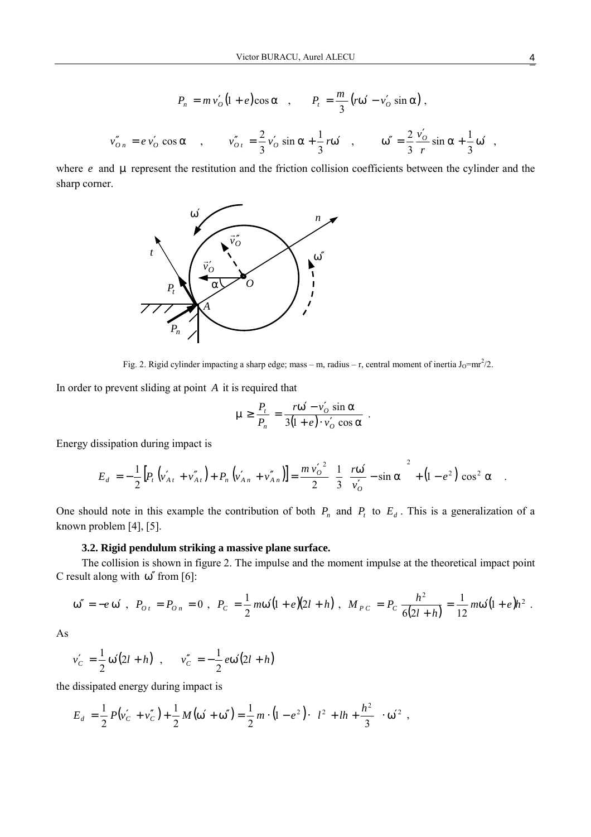$$
P_n = m v'_0 (1 + e) \cos \alpha \ , \qquad P_t = \frac{m}{3} (r \omega' - v'_0 \sin \alpha) \ ,
$$
  

$$
v''_{0n} = e v'_0 \cos \alpha \ , \qquad v''_{0t} = \frac{2}{3} v'_0 \sin \alpha + \frac{1}{3} r \omega' \ , \qquad \omega'' = \frac{2}{3} \frac{v'_0}{r} \sin \alpha + \frac{1}{3} \omega' \ ,
$$

where  $e$  and  $\mu$  represent the restitution and the friction collision coefficients between the cylinder and the sharp corner.



Fig. 2. Rigid cylinder impacting a sharp edge; mass – m, radius – r, central moment of inertia  $J_0=mr^2/2$ .

In order to prevent sliding at point *A* it is required that

$$
\mu \ge \frac{P_t}{P_n} = \frac{r\omega' - v'_0 \sin \alpha}{3(1+e) \cdot v'_0 \cos \alpha}.
$$

Energy dissipation during impact is

$$
E_d = -\frac{1}{2} \Big[ P_t \left( v'_{A t} + v''_{A t} \right) + P_n \left( v'_{A n} + v''_{A n} \right) \Big] = \frac{m v'_o{}^2}{2} \Bigg[ \frac{1}{3} \Bigg( \frac{r \omega'}{v'_o} - \sin \alpha \Bigg)^2 + \big( 1 - e^2 \big) \cos^2 \alpha \Bigg] \ .
$$

One should note in this example the contribution of both  $P_n$  and  $P_t$  to  $E_d$ . This is a generalization of a known problem [4], [5].

## **3.2. Rigid pendulum striking a massive plane surface.**

The collision is shown in figure 2. The impulse and the moment impulse at the theoretical impact point C result along with  $\omega''$  from [6]:

$$
\omega'' = -e \omega', \ \ P_{0t} = P_{0n} = 0 \ , \ \ P_C = \frac{1}{2} m \omega' (1+e)(2l+h) \ , \ \ M_{PC} = P_C \frac{h^2}{6(2l+h)} = \frac{1}{12} m \omega' (1+e) h^2 \ .
$$

As

$$
v'_C = \frac{1}{2} \omega'(2l + h)
$$
,  $v''_C = -\frac{1}{2} e \omega'(2l + h)$ 

the dissipated energy during impact is

$$
E_d = \frac{1}{2} P(v'_C + v''_C) + \frac{1}{2} M(\omega' + \omega'') = \frac{1}{2} m \cdot (1 - e^2) \cdot \left( l^2 + lh + \frac{h^2}{3} \right) \cdot \omega'^2,
$$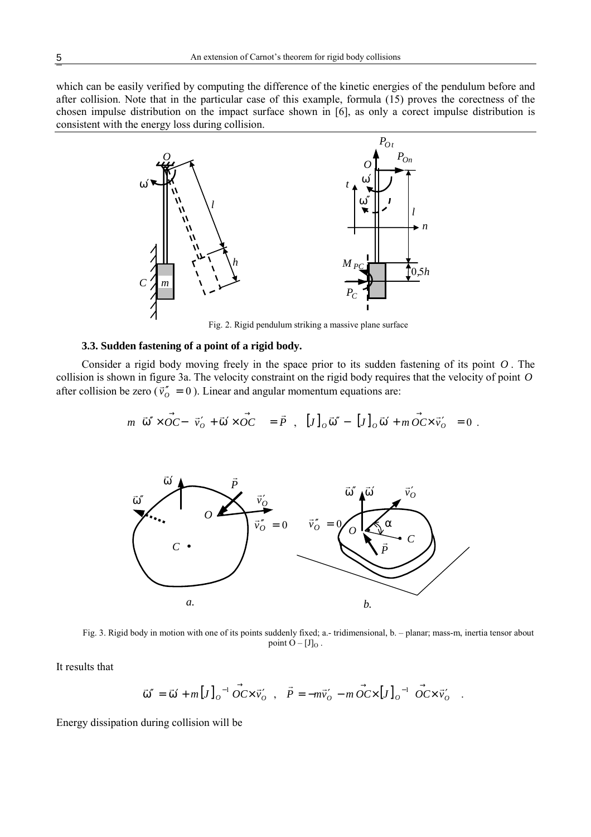which can be easily verified by computing the difference of the kinetic energies of the pendulum before and after collision. Note that in the particular case of this example, formula (15) proves the corectness of the chosen impulse distribution on the impact surface shown in [6], as only a corect impulse distribution is consistent with the energy loss during collision.



Fig. 2. Rigid pendulum striking a massive plane surface

## **3.3. Sudden fastening of a point of a rigid body.**

Consider a rigid body moving freely in the space prior to its sudden fastening of its point *O* . The collision is shown in figure 3a. The velocity constraint on the rigid body requires that the velocity of point *O* after collision be zero ( $\vec{v}_0^{\prime\prime} = 0$ ). Linear and angular momentum equations are:

$$
m\left[\vec{\omega}'' \times \vec{OC} - \left(\vec{v}_0' + \vec{\omega}' \times \vec{OC}\right)\right] = \vec{P} \ , \ [J]_O \vec{\omega}'' - \left([J]_O \vec{\omega}' + m\vec{OC} \times \vec{v}_O'\right) = 0 \ .
$$



Fig. 3. Rigid body in motion with one of its points suddenly fixed; a.- tridimensional, b. – planar; mass-m, inertia tensor about point  $O - [J]_O$ .

It results that

$$
\vec{\omega}'' = \vec{\omega}' + m \left[J\right]_0^{-1} \vec{OC} \times \vec{v}'_0 , \quad \vec{P} = -m\vec{v}'_0 - m \vec{OC} \times \left[J\right]_0^{-1} \left(\vec{OC} \times \vec{v}'_0\right).
$$

Energy dissipation during collision will be